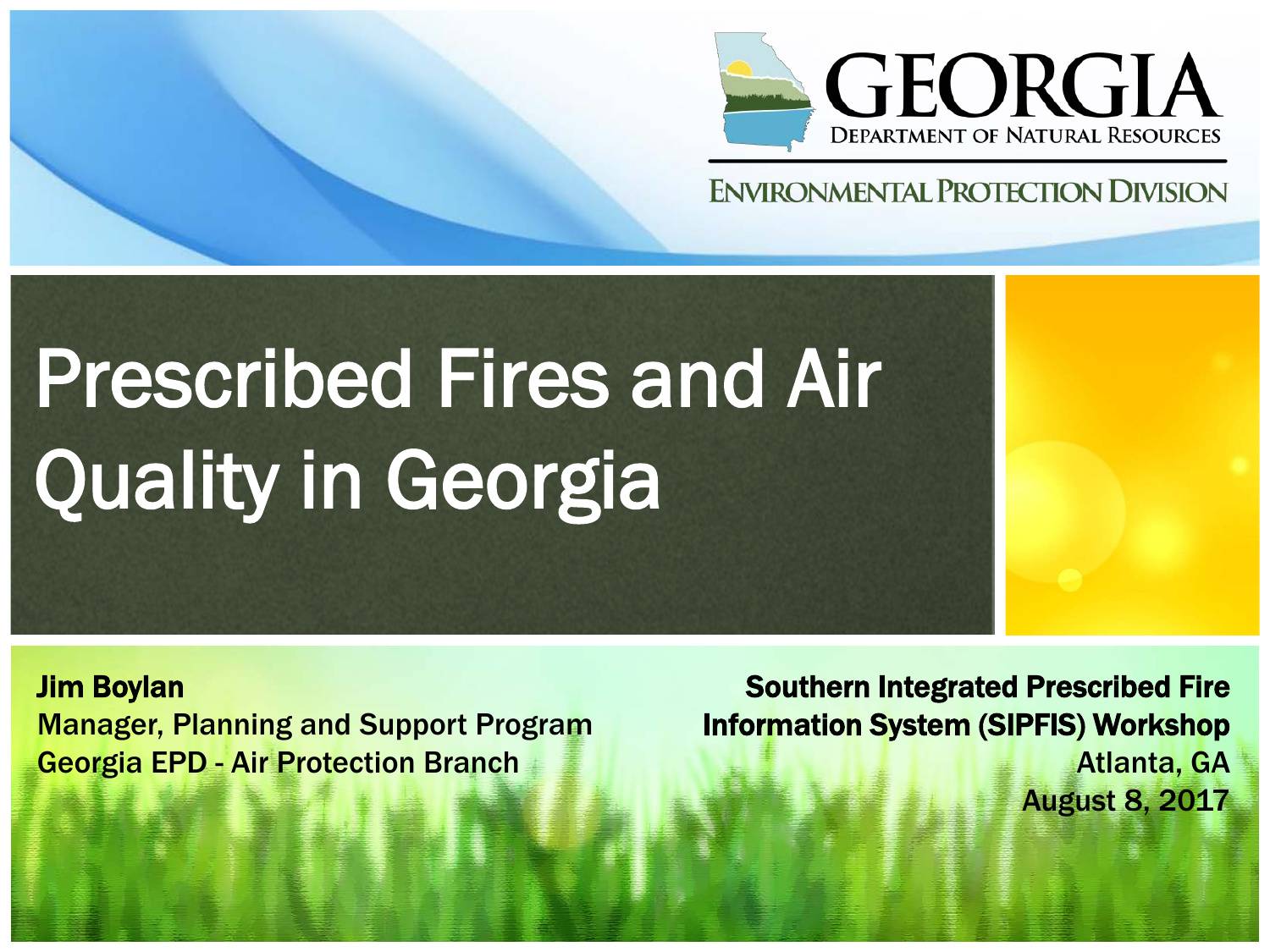

#### **ENVIRONMENTAL PROTECTION DIVISION**

# Prescribed Fires and Air Quality in Georgia

Jim Boylan Manager, Planning and Support Program Georgia EPD - Air Protection Branch

Southern Integrated Prescribed Fire Information System (SIPFIS) Workshop Atlanta, GA August 8, 2017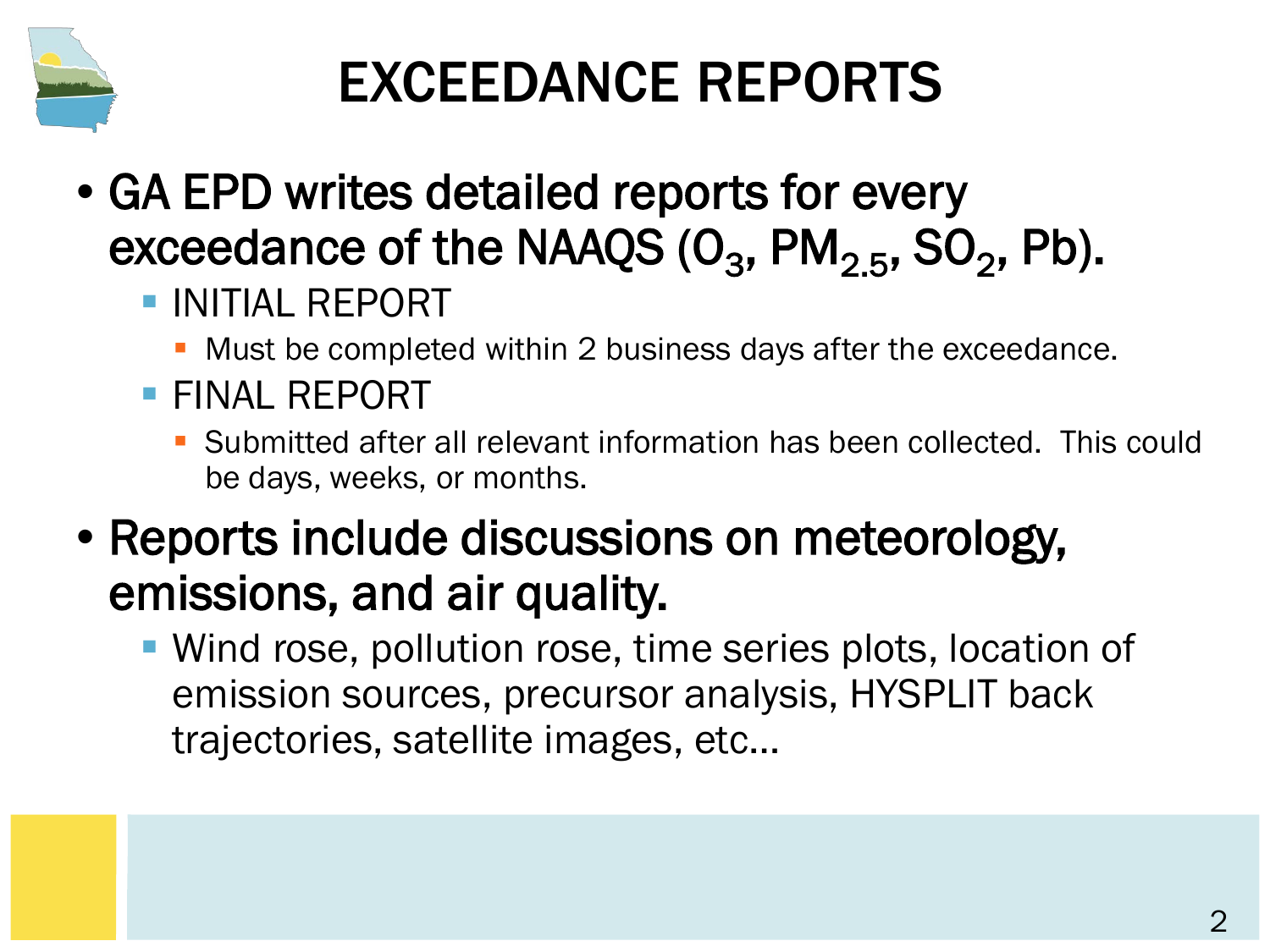

#### EXCEEDANCE REPORTS

- GA EPD writes detailed reports for every exceedance of the NAAQS  $(O_3, PM_{2.5}, SO_2, Pb)$ .
	- **INITIAL REPORT** 
		- Must be completed within 2 business days after the exceedance.
	- **FINAL REPORT** 
		- Submitted after all relevant information has been collected. This could be days, weeks, or months.
- Reports include discussions on meteorology, emissions, and air quality.
	- Wind rose, pollution rose, time series plots, location of emission sources, precursor analysis, HYSPLIT back trajectories, satellite images, etc…

2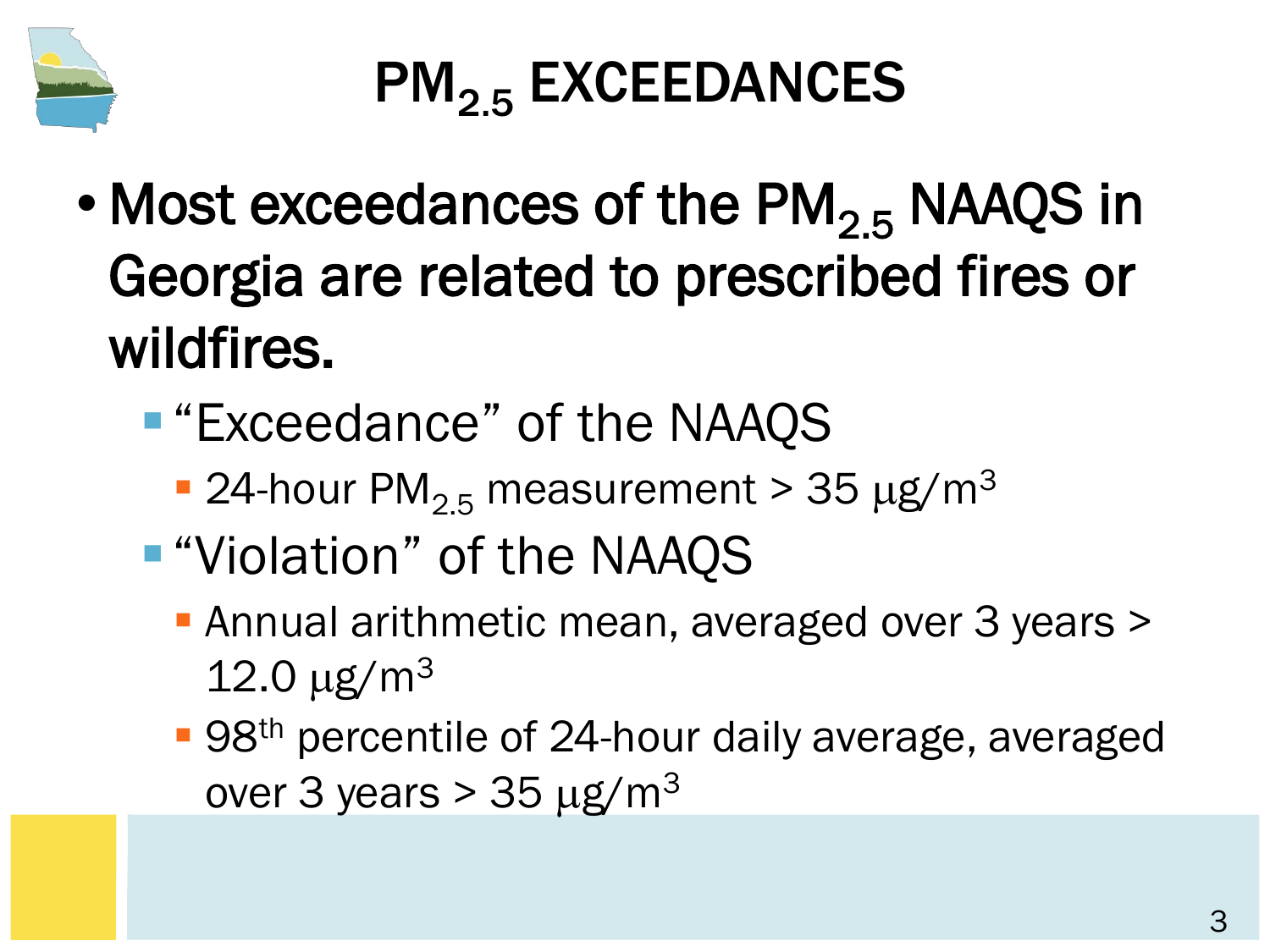

# PM<sub>2.5</sub> EXCEEDANCES

- Most exceedances of the  $PM<sub>2.5</sub>$  NAAQS in Georgia are related to prescribed fires or wildfires.
	- "Exceedance" of the NAAQS
		- **24-hour PM<sub>2.5</sub> measurement > 35 µg/m<sup>3</sup>**
	- **.** "Violation" of the NAAQS
		- **Annual arithmetic mean, averaged over 3 years >**  $12.0 \,\mathrm{\upmu g/m^3}$
		- 98<sup>th</sup> percentile of 24-hour daily average, averaged over 3 years  $> 35 \mu g/m<sup>3</sup>$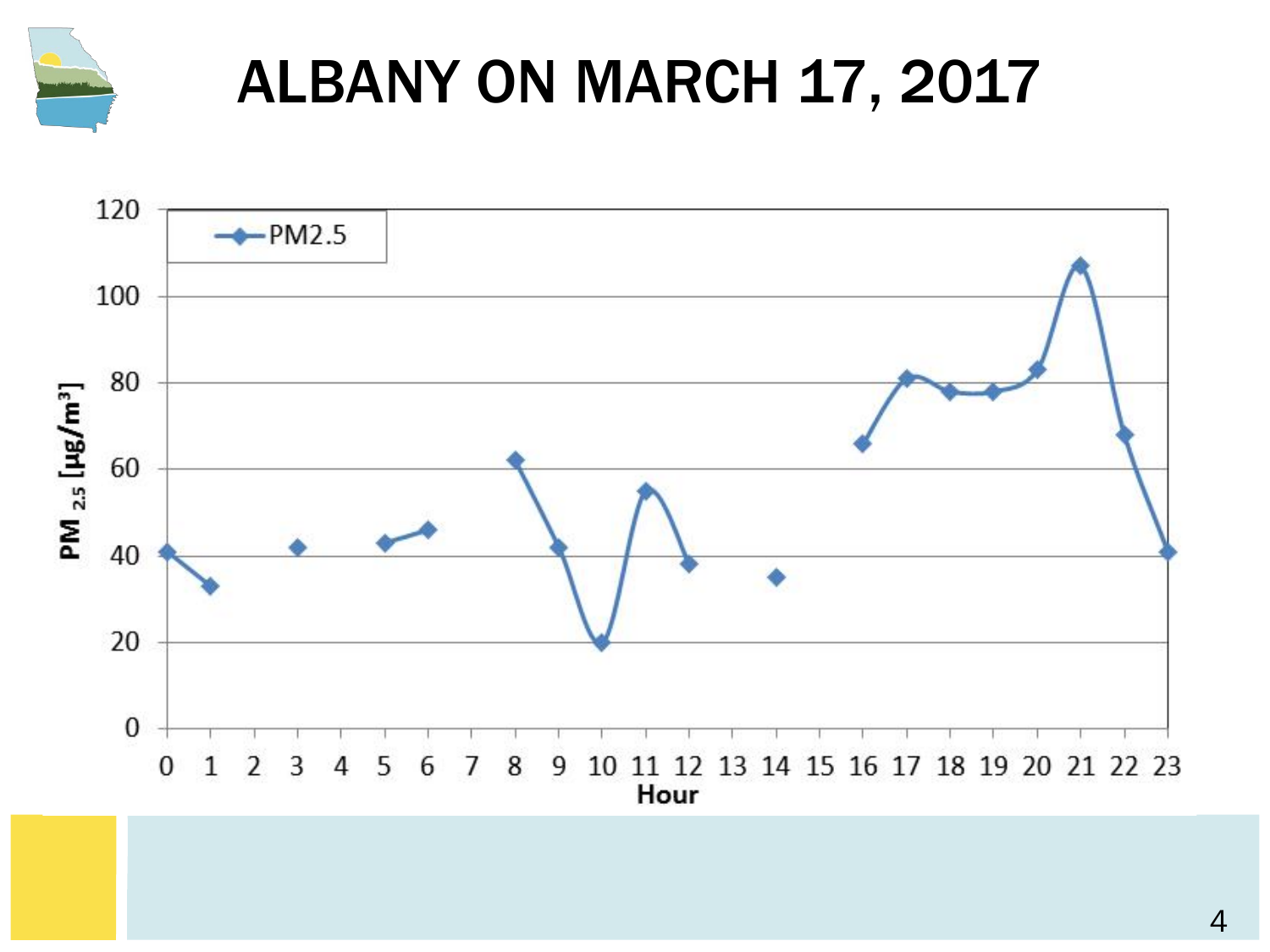

# ALBANY ON MARCH 17, 2017

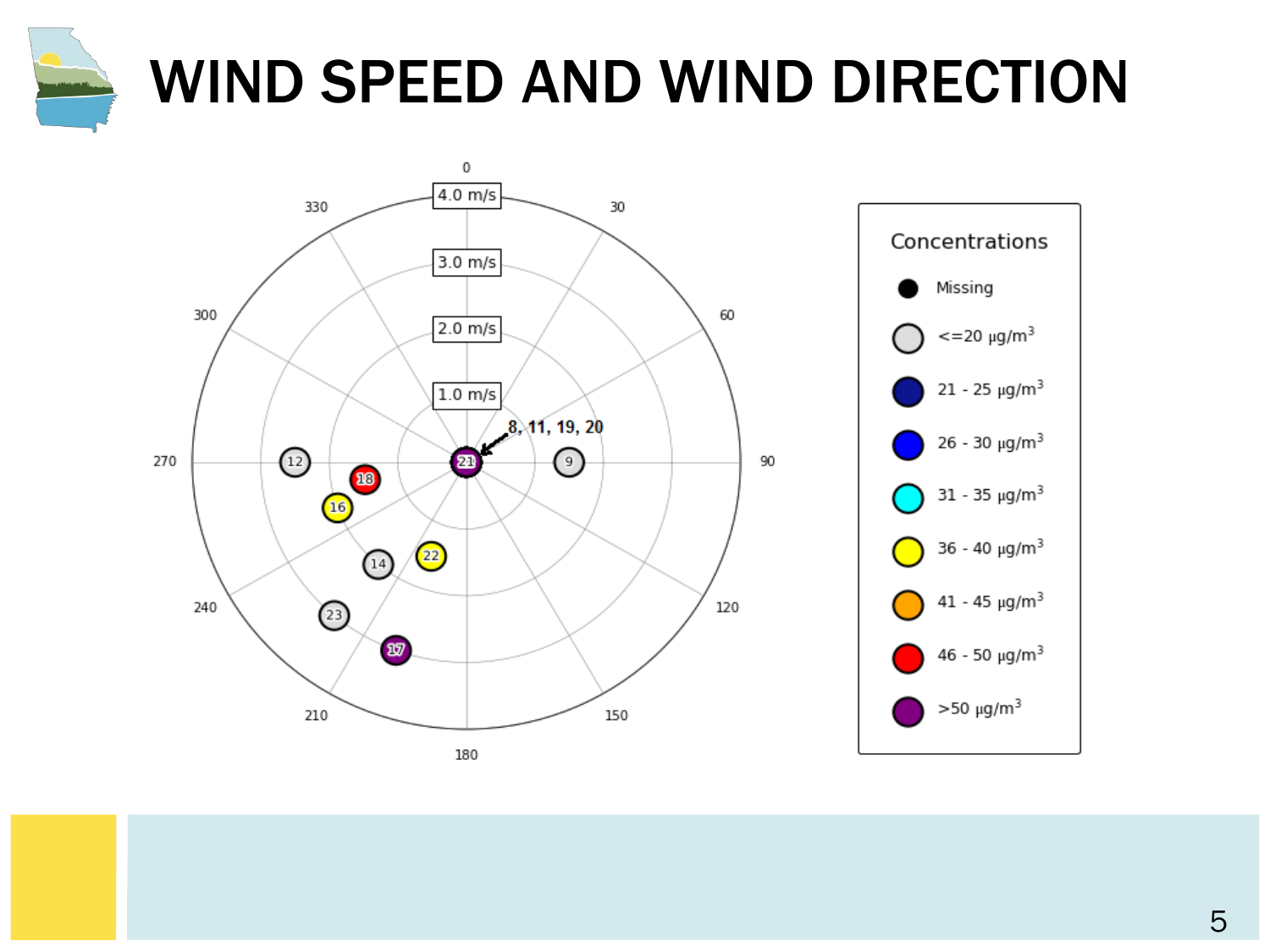

# WIND SPEED AND WIND DIRECTION



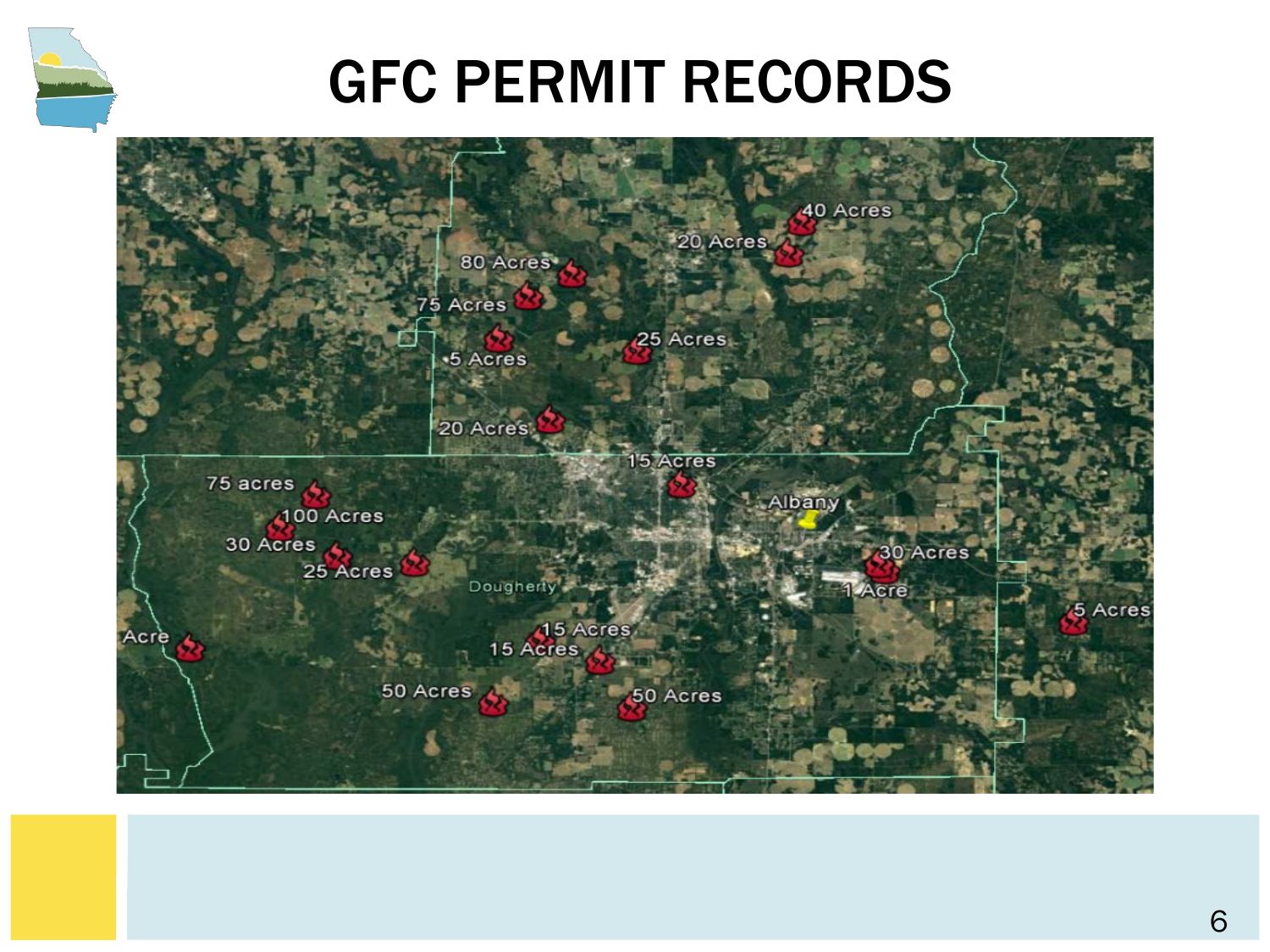

#### GFC PERMIT RECORDS

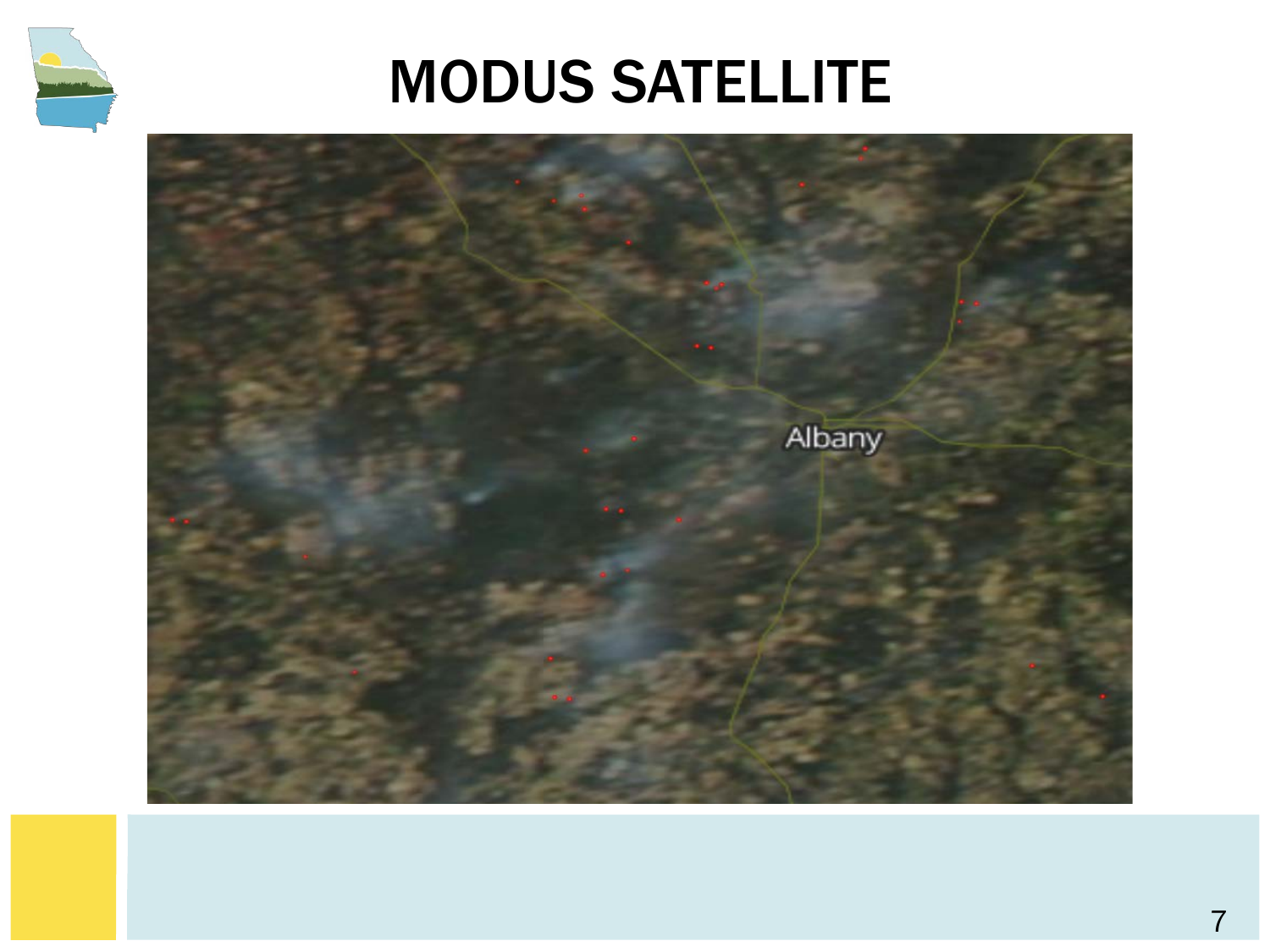

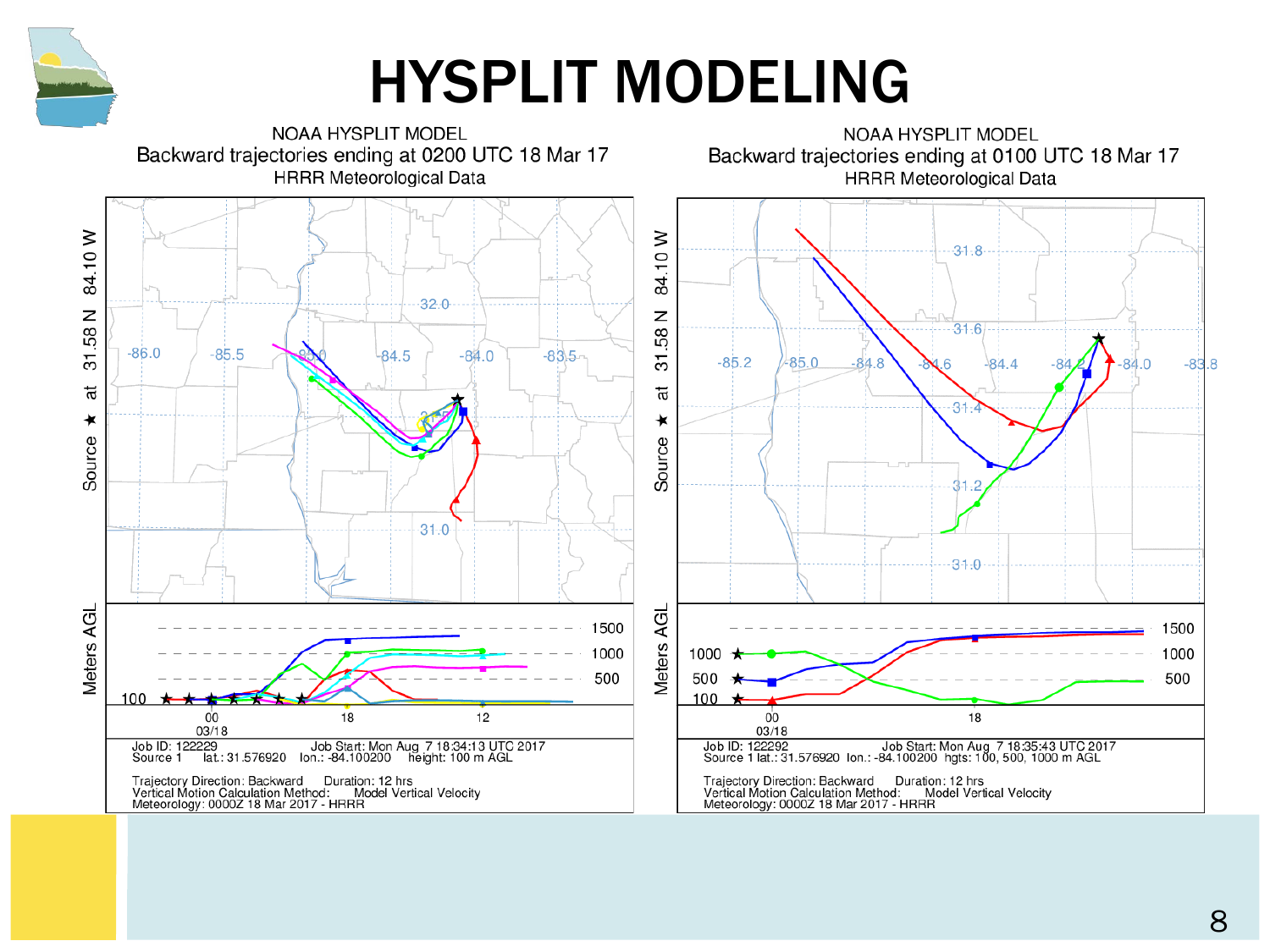

#### HYSPLIT MODELING

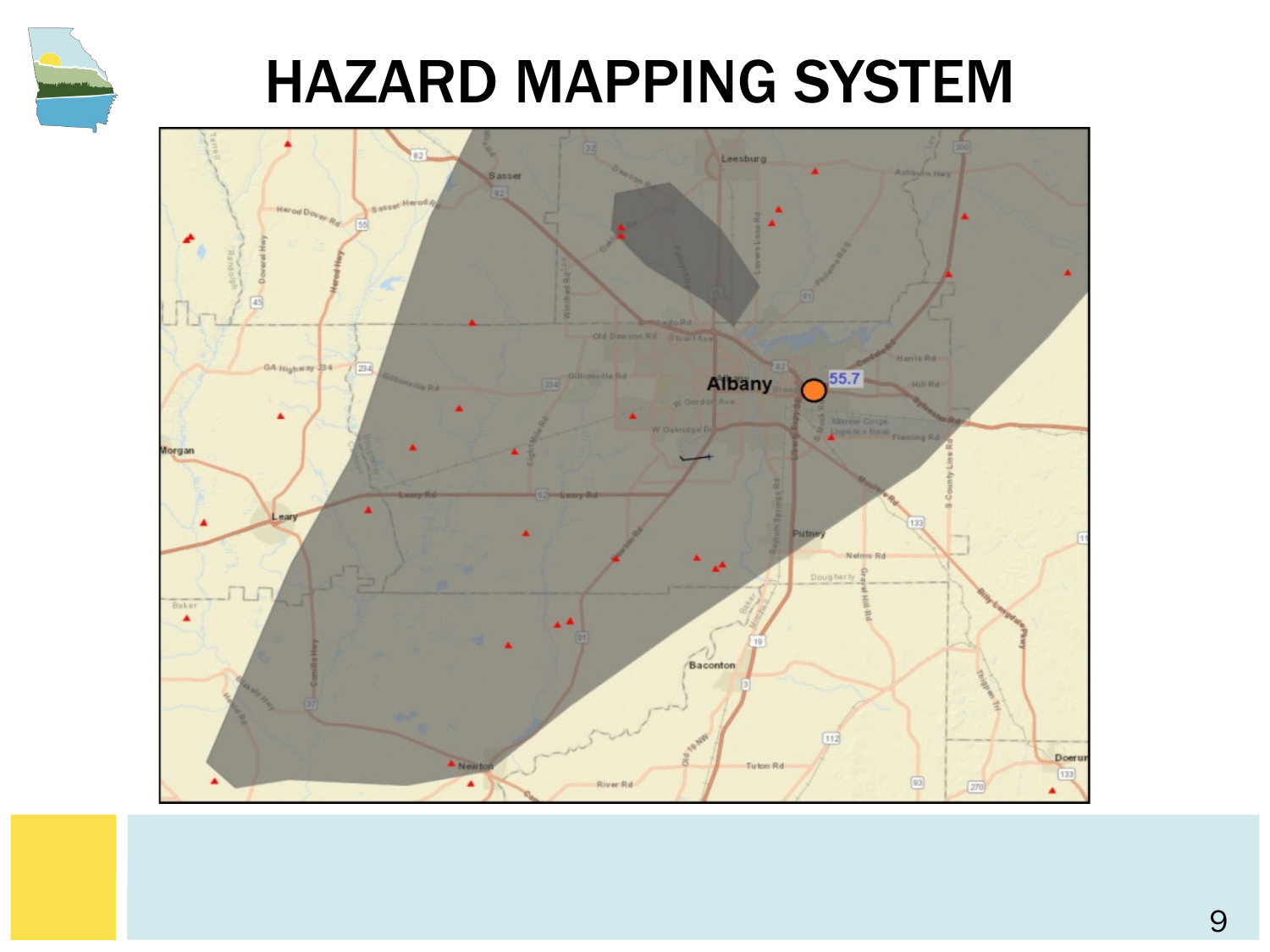

#### HAZARD MAPPING SYSTEM

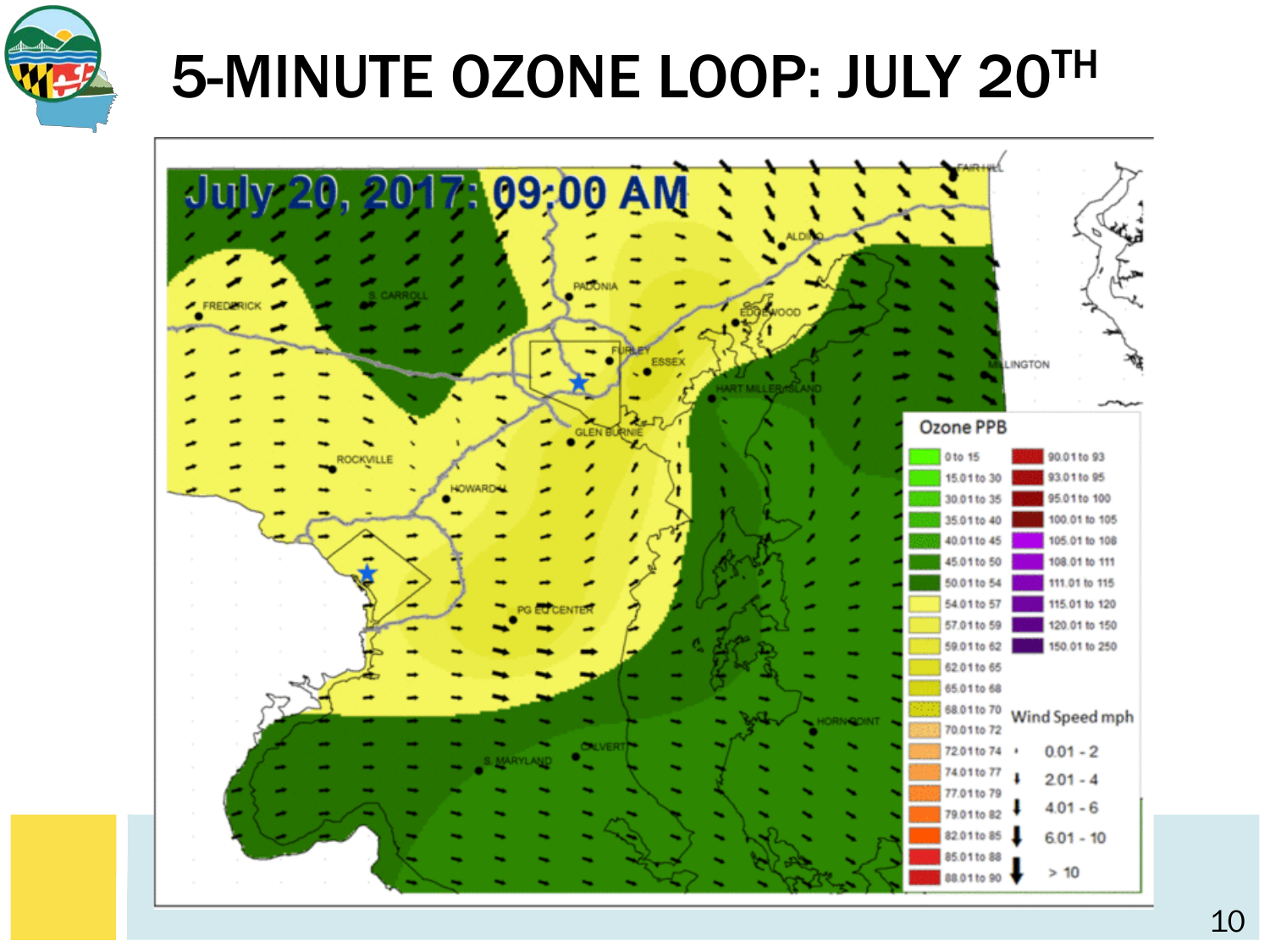

# 5-MINUTE OZONE LOOP: JULY 20TH

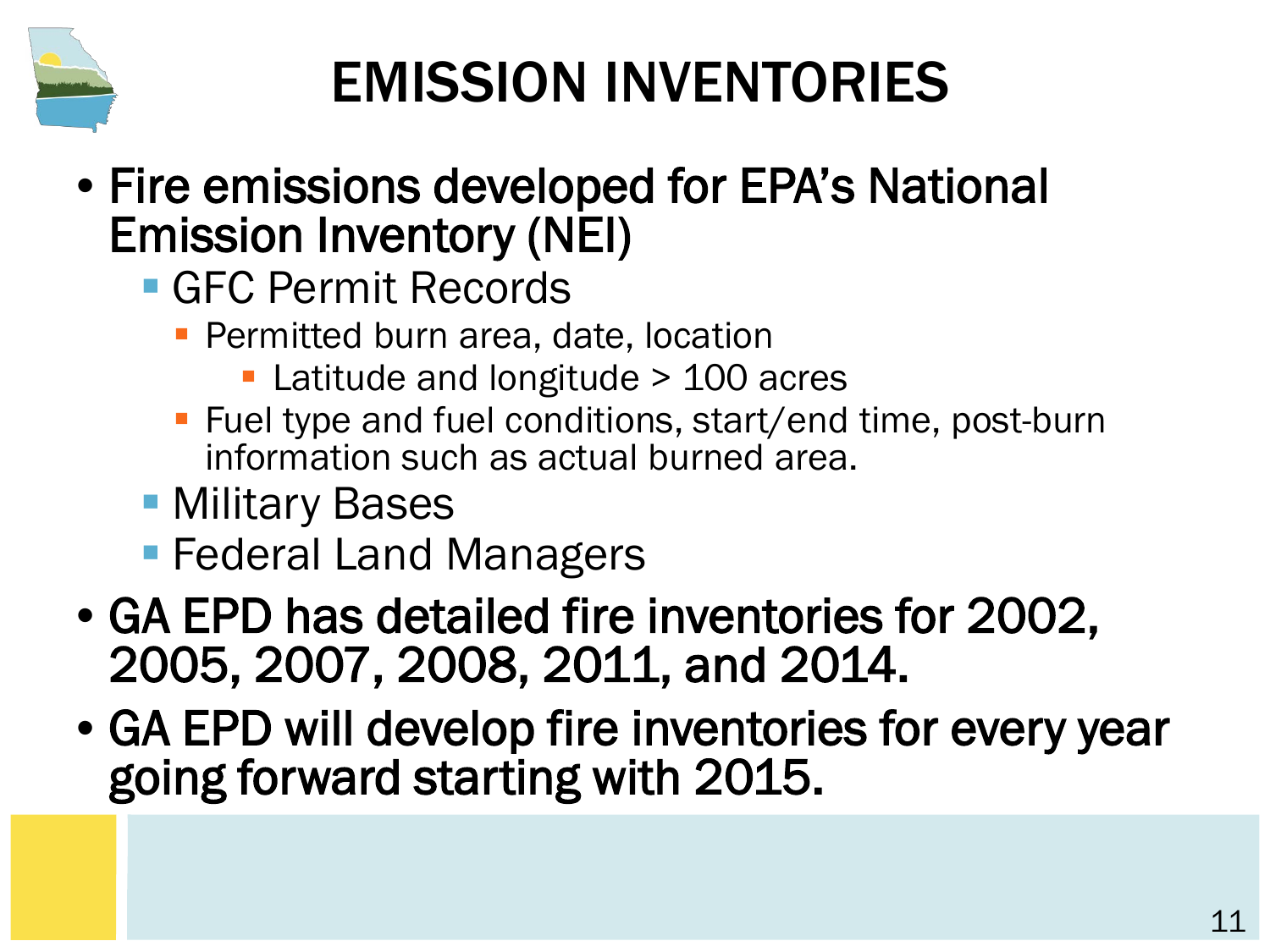

### EMISSION INVENTORIES

- Fire emissions developed for EPA's National Emission Inventory (NEI)
	- **GFC Permit Records** 
		- **Permitted burn area, date, location** 
			- Latitude and longitude > 100 acres
		- Fuel type and fuel conditions, start/end time, post-burn information such as actual burned area.
	- **Military Bases**
	- Federal Land Managers
- GA EPD has detailed fire inventories for 2002, 2005, 2007, 2008, 2011, and 2014.
- GA EPD will develop fire inventories for every year going forward starting with 2015.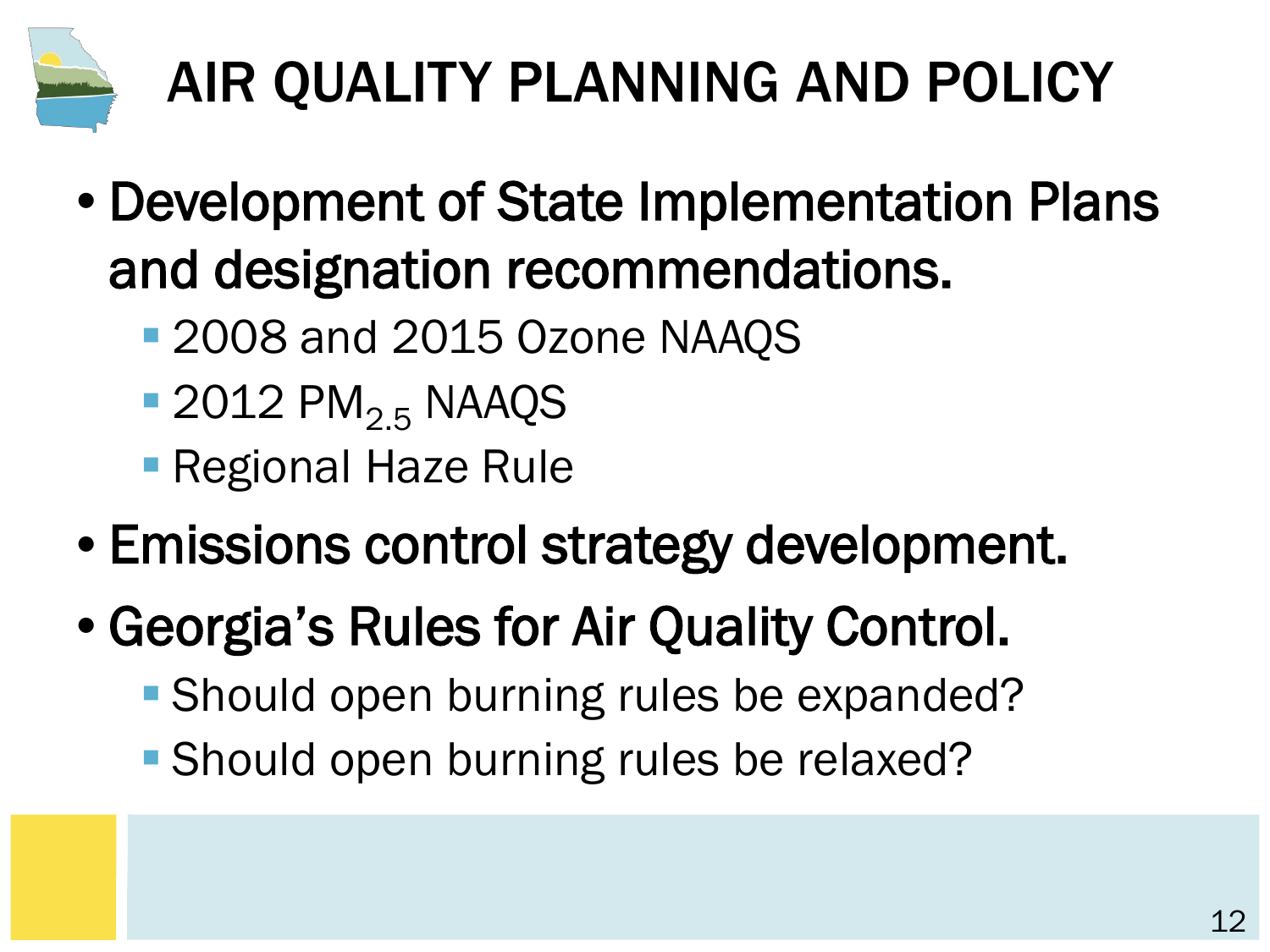

# AIR QUALITY PLANNING AND POLICY

- Development of State Implementation Plans and designation recommendations.
	- 2008 and 2015 Ozone NAAQS
	- $\blacksquare$  2012 PM<sub>2.5</sub> NAAQS
	- **Regional Haze Rule**
- Emissions control strategy development.
- Georgia's Rules for Air Quality Control.
	- **Should open burning rules be expanded?**
	- **Should open burning rules be relaxed?**